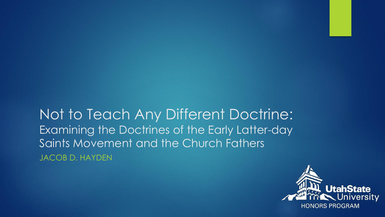Not to Teach Any Different Doctrine: Examining the Doctrines of the Early Latter-day Saints Movement and the Church Fathers JACOB D. HAYDEN

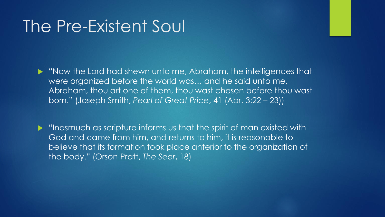#### The Pre-Existent Soul

 "Now the Lord had shewn unto me, Abraham, the intelligences that were organized before the world was… and he said unto me, Abraham, thou art one of them, thou wast chosen before thou wast born." (Joseph Smith, *Pearl of Great Price*, 41 (Abr. 3:22 – 23))

**Inasmuch as scripture informs us that the spirit of man existed with** God and came from him, and returns to him, it is reasonable to believe that its formation took place anterior to the organization of the body." (Orson Pratt, *The Seer*, 18)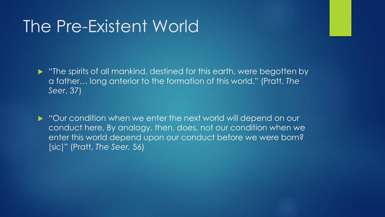### The Pre-Existent World

**The spirits of all mankind, destined for this earth, were begotten by** a father… long anterior to the formation of this world." (Pratt, *The Seer*, 37)

▶ "Our condition when we enter the next world will depend on our conduct here, By analogy, then, does, not our condition when we enter this world depend upon our conduct before we were born? [sic]" (Pratt, *The Seer,* 56)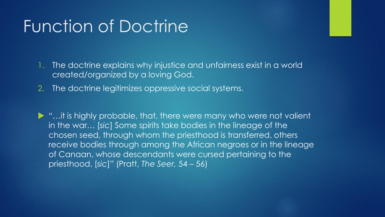## Function of Doctrine

1. The doctrine explains why injustice and unfairness exist in a world created/organized by a loving God.

2. The doctrine legitimizes oppressive social systems.

▶ "…it is highly probable, that, there were many who were not valient in the war… [*sic*] Some spirits take bodies in the lineage of the chosen seed, through whom the priesthood is transferred. others receive bodies through among the African negroes or in the lineage of Canaan, whose descendants were cursed pertaining to the priesthood. [*sic*]" (Pratt, *The Seer,* 54 – 56)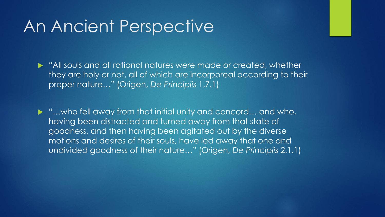#### An Ancient Perspective

 "All souls and all rational natures were made or created, whether they are holy or not, all of which are incorporeal according to their proper nature…" (Origen, *De Principiis* 1.7.1)

▶ "...who fell away from that initial unity and concord... and who, having been distracted and turned away from that state of goodness, and then having been agitated out by the diverse motions and desires of their souls, have led away that one and undivided goodness of their nature…" (Origen, *De Principiis* 2.1.1)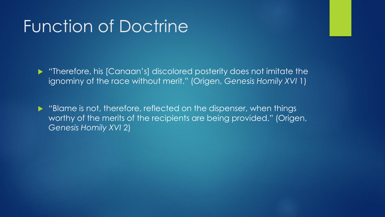## Function of Doctrine

 "Therefore, his [Canaan's] discolored posterity does not imitate the ignominy of the race without merit." (Origen, *Genesis Homily XVI* 1)

 "Blame is not, therefore, reflected on the dispenser, when things worthy of the merits of the recipients are being provided." (Origen, *Genesis Homily XVI* 2)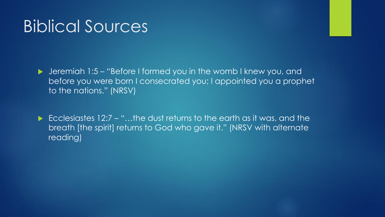### Biblical Sources

 Jeremiah 1:5 – "Before I formed you in the womb I knew you, and before you were born I consecrated you; I appointed you a prophet to the nations." (NRSV)

Ecclesiastes  $12:7 -$  "...the dust returns to the earth as it was, and the breath [the spirit] returns to God who gave it." (NRSV with alternate reading)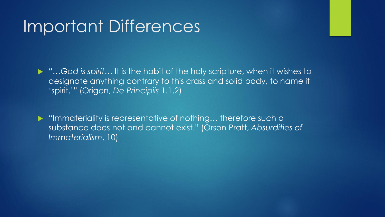## Important Differences

 "…*God is spirit*… It is the habit of the holy scripture, when it wishes to designate anything contrary to this crass and solid body, to name it 'spirit.'" (Origen, *De Principiis* 1.1.2)

▶ "Immateriality is representative of nothing... therefore such a substance does not and cannot exist." (Orson Pratt, *Absurdities of Immaterialism*, 10)